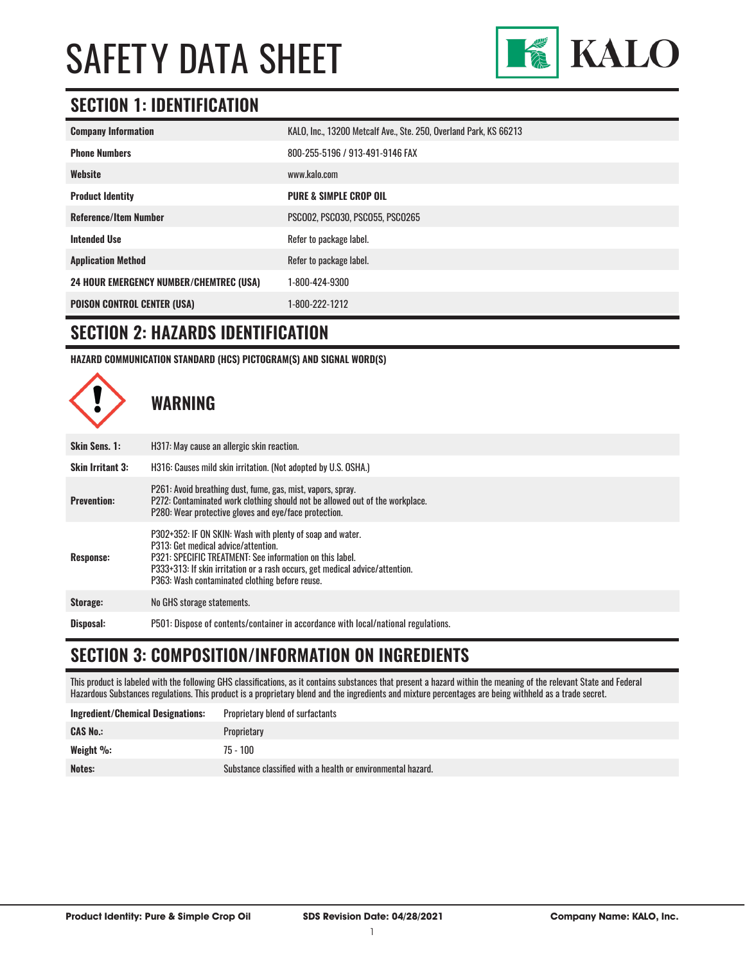

#### **SECTION 1: IDENTIFICATION**

| <b>Company Information</b>                     | KALO, Inc., 13200 Metcalf Ave., Ste. 250, Overland Park, KS 66213 |
|------------------------------------------------|-------------------------------------------------------------------|
| <b>Phone Numbers</b>                           | 800-255-5196 / 913-491-9146 FAX                                   |
| Website                                        | www.kalo.com                                                      |
| <b>Product Identity</b>                        | <b>PURE &amp; SIMPLE CROP OIL</b>                                 |
| <b>Reference/Item Number</b>                   | PSCO02, PSCO30, PSCO55, PSCO265                                   |
| <b>Intended Use</b>                            | Refer to package label.                                           |
| <b>Application Method</b>                      | Refer to package label.                                           |
| <b>24 HOUR EMERGENCY NUMBER/CHEMTREC (USA)</b> | 1-800-424-9300                                                    |
| <b>POISON CONTROL CENTER (USA)</b>             | 1-800-222-1212                                                    |

#### **SECTION 2: HAZARDS IDENTIFICATION**

**HAZARD COMMUNICATION STANDARD (HCS) PICTOGRAM(S) AND SIGNAL WORD(S)**



#### **SECTION 3: COMPOSITION/INFORMATION ON INGREDIENTS**

This product is labeled with the following GHS classifications, as it contains substances that present a hazard within the meaning of the relevant State and Federal Hazardous Substances regulations. This product is a proprietary blend and the ingredients and mixture percentages are being withheld as a trade secret.

| <b>Ingredient/Chemical Designations:</b> | Proprietary blend of surfactants                            |
|------------------------------------------|-------------------------------------------------------------|
| <b>CAS No.:</b>                          | Proprietary                                                 |
| Weight $\%$ :                            | $75 - 100$                                                  |
| Notes:                                   | Substance classified with a health or environmental hazard. |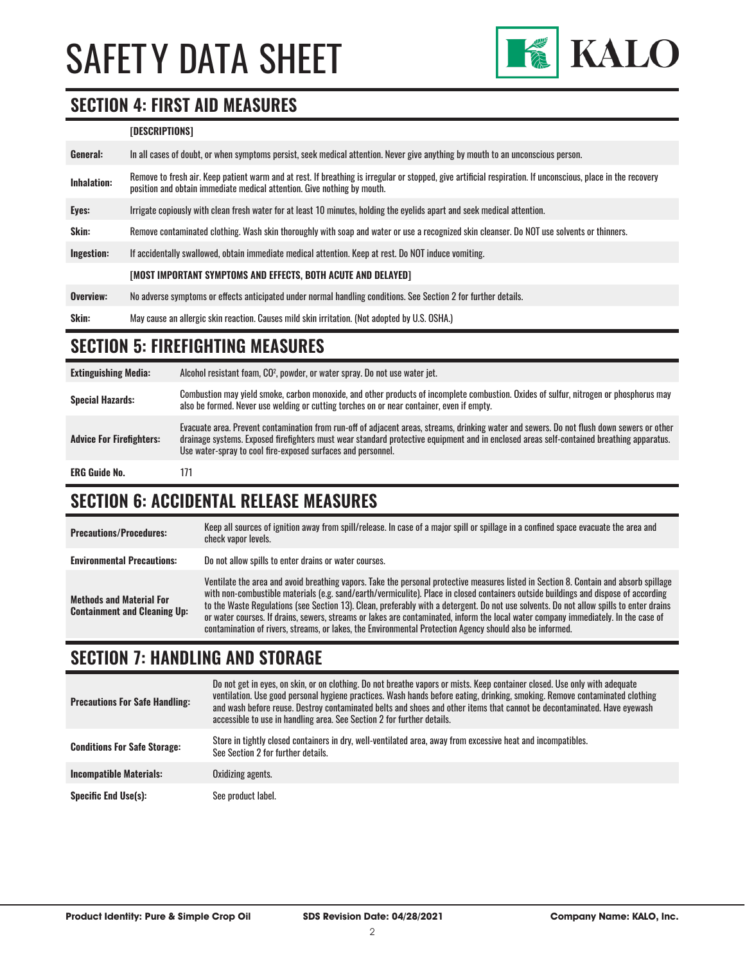

#### **SECTION 4: FIRST AID MEASURES**

#### **[DESCRIPTIONS]**

| General:    | In all cases of doubt, or when symptoms persist, seek medical attention. Never give anything by mouth to an unconscious person.                                                                                                         |
|-------------|-----------------------------------------------------------------------------------------------------------------------------------------------------------------------------------------------------------------------------------------|
| Inhalation: | Remove to fresh air. Keep patient warm and at rest. If breathing is irregular or stopped, give artificial respiration. If unconscious, place in the recovery<br>position and obtain immediate medical attention. Give nothing by mouth. |
| Eyes:       | Irrigate copiously with clean fresh water for at least 10 minutes, holding the eyelids apart and seek medical attention.                                                                                                                |
| Skin:       | Remove contaminated clothing. Wash skin thoroughly with soap and water or use a recognized skin cleanser. Do NOT use solvents or thinners.                                                                                              |
| Ingestion:  | If accidentally swallowed, obtain immediate medical attention. Keep at rest, Do NOT induce vomiting.                                                                                                                                    |
|             | [MOST IMPORTANT SYMPTOMS AND EFFECTS, BOTH ACUTE AND DELAYED]                                                                                                                                                                           |
| Overview:   | No adverse symptoms or effects anticipated under normal handling conditions. See Section 2 for further details.                                                                                                                         |
| Skin:       | May cause an allergic skin reaction. Causes mild skin irritation. (Not adopted by U.S. OSHA.)                                                                                                                                           |

#### **SECTION 5: FIREFIGHTING MEASURES**

**Extinguishing Media:** Alcohol resistant foam, CO2 , powder, or water spray. Do not use water jet. Special Hazards:<br>
Special Hazards:<br>
ohe he fermed Navarues was welding as outling terabos on as pear container, avan if continuous of sulfur, nitrogen or phosphorus may also be formed. Never use welding or cutting torches on or near container, even if empty. **Advice For Firefighters:** Evacuate area. Prevent contamination from run-off of adjacent areas, streams, drinking water and sewers. Do not flush down sewers or other drainage systems. Exposed firefighters must wear standard protective equipment and in enclosed areas self-contained breathing apparatus. Use water-spray to cool fire-exposed surfaces and personnel. ERG Guide No. 171

#### **SECTION 6: ACCIDENTAL RELEASE MEASURES**

| <b>Precautions/Procedures:</b>                                         | Keep all sources of ignition away from spill/release. In case of a major spill or spillage in a confined space evacuate the area and<br>check vapor levels.                                                                                                                                                                                                                                                                                                                                                                                                                                                                                                               |
|------------------------------------------------------------------------|---------------------------------------------------------------------------------------------------------------------------------------------------------------------------------------------------------------------------------------------------------------------------------------------------------------------------------------------------------------------------------------------------------------------------------------------------------------------------------------------------------------------------------------------------------------------------------------------------------------------------------------------------------------------------|
| <b>Environmental Precautions:</b>                                      | Do not allow spills to enter drains or water courses.                                                                                                                                                                                                                                                                                                                                                                                                                                                                                                                                                                                                                     |
| <b>Methods and Material For</b><br><b>Containment and Cleaning Up:</b> | Ventilate the area and avoid breathing vapors. Take the personal protective measures listed in Section 8. Contain and absorb spillage<br>with non-combustible materials (e.g. sand/earth/vermiculite). Place in closed containers outside buildings and dispose of according<br>to the Waste Regulations (see Section 13). Clean, preferably with a detergent. Do not use solvents. Do not allow spills to enter drains<br>or water courses. If drains, sewers, streams or lakes are contaminated, inform the local water company immediately. In the case of<br>contamination of rivers, streams, or lakes, the Environmental Protection Agency should also be informed. |

#### **SECTION 7: HANDLING AND STORAGE**

| <b>Precautions For Safe Handling:</b> | Do not get in eyes, on skin, or on clothing. Do not breathe vapors or mists. Keep container closed. Use only with adequate<br>ventilation. Use good personal hygiene practices. Wash hands before eating, drinking, smoking. Remove contaminated clothing<br>and wash before reuse. Destroy contaminated belts and shoes and other items that cannot be decontaminated. Have eyewash<br>accessible to use in handling area. See Section 2 for further details. |
|---------------------------------------|----------------------------------------------------------------------------------------------------------------------------------------------------------------------------------------------------------------------------------------------------------------------------------------------------------------------------------------------------------------------------------------------------------------------------------------------------------------|
| <b>Conditions For Safe Storage:</b>   | Store in tightly closed containers in dry, well-ventilated area, away from excessive heat and incompatibles.<br>See Section 2 for further details.                                                                                                                                                                                                                                                                                                             |
| <b>Incompatible Materials:</b>        | Oxidizing agents.                                                                                                                                                                                                                                                                                                                                                                                                                                              |
| <b>Specific End Use(s):</b>           | See product label.                                                                                                                                                                                                                                                                                                                                                                                                                                             |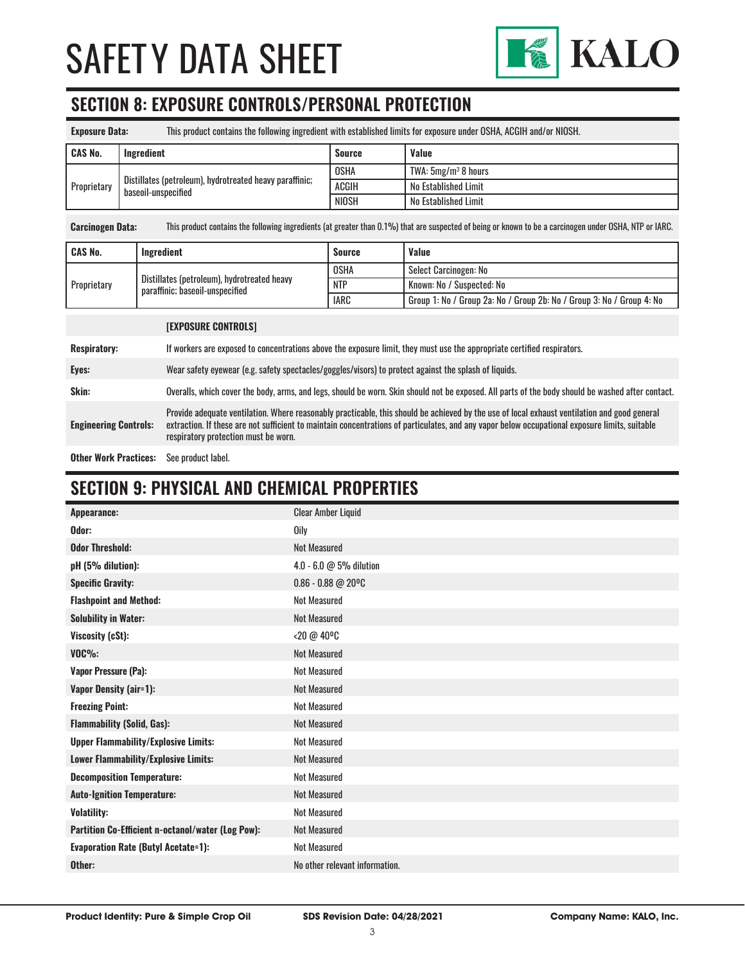

#### **SECTION 8: EXPOSURE CONTROLS/PERSONAL PROTECTION**

| <b>Exposure Data:</b> |                                                                                |               | This product contains the following ingredient with established limits for exposure under OSHA, ACGIH and/or NIOSH. |
|-----------------------|--------------------------------------------------------------------------------|---------------|---------------------------------------------------------------------------------------------------------------------|
| <b>CAS No.</b>        | Ingredient                                                                     | <b>Source</b> | <b>Value</b>                                                                                                        |
| Proprietary           | Distillates (petroleum), hydrotreated heavy paraffinic;<br>baseoil-unspecified | <b>OSHA</b>   | TWA: 5mg/m <sup>3</sup> 8 hours                                                                                     |
|                       |                                                                                | <b>ACGIH</b>  | No Established Limit                                                                                                |
|                       |                                                                                | NIOSH         | No Established Limit                                                                                                |

**Carcinogen Data:** This product contains the following ingredients (at greater than 0.1%) that are suspected of being or known to be a carcinogen under OSHA, NTP or IARC.

| <b>CAS No.</b>     | Ingredient                                                                     | <b>Source</b> | <b>Value</b>                                                          |
|--------------------|--------------------------------------------------------------------------------|---------------|-----------------------------------------------------------------------|
| <b>Proprietary</b> | Distillates (petroleum), hydrotreated heavy<br>paraffinic: baseoil-unspecified | <b>OSHA</b>   | Select Carcinogen: No                                                 |
|                    |                                                                                | <b>NTP</b>    | Known: No / Suspected: No                                             |
|                    |                                                                                | <b>IARC</b>   | Group 1: No / Group 2a: No / Group 2b: No / Group 3: No / Group 4: No |

|                              | <b>[EXPOSURE CONTROLS]</b>                                                                                                                                                                                                                                                                                                             |
|------------------------------|----------------------------------------------------------------------------------------------------------------------------------------------------------------------------------------------------------------------------------------------------------------------------------------------------------------------------------------|
| <b>Respiratory:</b>          | If workers are exposed to concentrations above the exposure limit, they must use the appropriate certified respirators.                                                                                                                                                                                                                |
| Eyes:                        | Wear safety eyewear (e.g. safety spectacles/goggles/visors) to protect against the splash of liquids.                                                                                                                                                                                                                                  |
| Skin:                        | Overalls, which cover the body, arms, and legs, should be worn. Skin should not be exposed. All parts of the body should be washed after contact.                                                                                                                                                                                      |
| <b>Engineering Controls:</b> | Provide adequate ventilation. Where reasonably practicable, this should be achieved by the use of local exhaust ventilation and good general<br>extraction. If these are not sufficient to maintain concentrations of particulates, and any vapor below occupational exposure limits, suitable<br>respiratory protection must be worn. |
|                              |                                                                                                                                                                                                                                                                                                                                        |

**Other Work Practices:** See product label.

#### **SECTION 9: PHYSICAL AND CHEMICAL PROPERTIES**

| Appearance:                                       | <b>Clear Amber Liquid</b>      |
|---------------------------------------------------|--------------------------------|
| Odor:                                             | <b>Oily</b>                    |
| <b>Odor Threshold:</b>                            | <b>Not Measured</b>            |
| pH (5% dilution):                                 | 4.0 - 6.0 @ 5% dilution        |
| <b>Specific Gravity:</b>                          | $0.86 - 0.88$ @ 20°C           |
| <b>Flashpoint and Method:</b>                     | <b>Not Measured</b>            |
| <b>Solubility in Water:</b>                       | <b>Not Measured</b>            |
| Viscosity (cSt):                                  | <20 @ 40°C                     |
| $VOC\%$ :                                         | <b>Not Measured</b>            |
| <b>Vapor Pressure (Pa):</b>                       | <b>Not Measured</b>            |
| Vapor Density (air=1):                            | <b>Not Measured</b>            |
| <b>Freezing Point:</b>                            | <b>Not Measured</b>            |
| <b>Flammability (Solid, Gas):</b>                 | <b>Not Measured</b>            |
| <b>Upper Flammability/Explosive Limits:</b>       | <b>Not Measured</b>            |
| Lower Flammability/Explosive Limits:              | <b>Not Measured</b>            |
| <b>Decomposition Temperature:</b>                 | <b>Not Measured</b>            |
| <b>Auto-Ignition Temperature:</b>                 | <b>Not Measured</b>            |
| <b>Volatility:</b>                                | <b>Not Measured</b>            |
| Partition Co-Efficient n-octanol/water (Log Pow): | <b>Not Measured</b>            |
| <b>Evaporation Rate (Butyl Acetate=1):</b>        | <b>Not Measured</b>            |
| Other:                                            | No other relevant information. |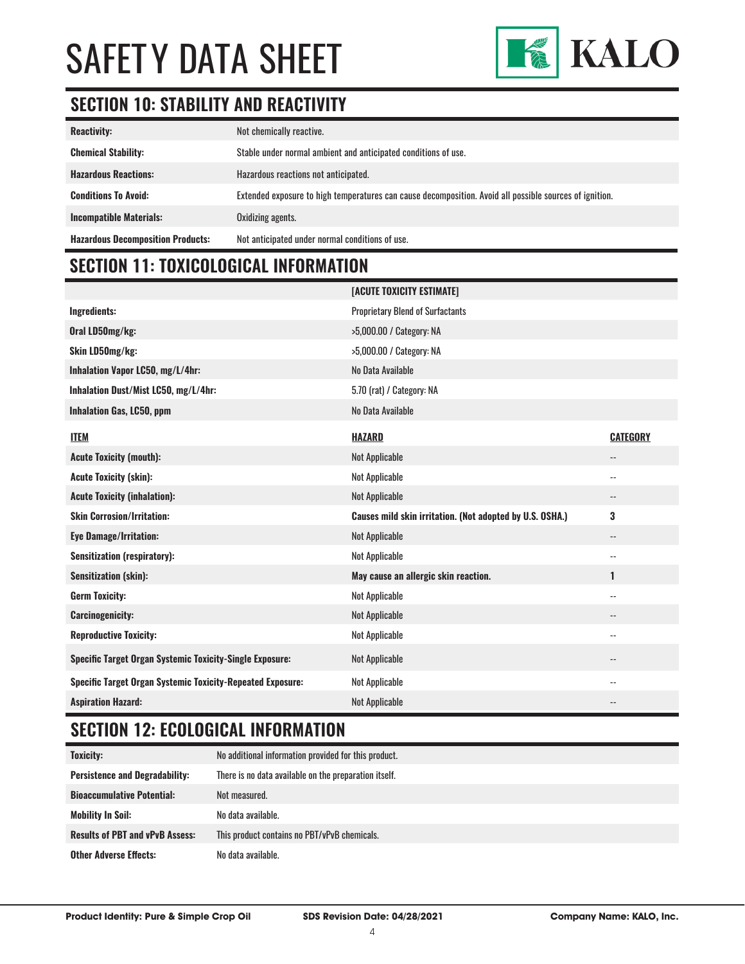

### **SECTION 10: STABILITY AND REACTIVITY**

| <b>Reactivity:</b>                       | Not chemically reactive.                                                                                |
|------------------------------------------|---------------------------------------------------------------------------------------------------------|
| <b>Chemical Stability:</b>               | Stable under normal ambient and anticipated conditions of use.                                          |
| <b>Hazardous Reactions:</b>              | Hazardous reactions not anticipated.                                                                    |
| <b>Conditions To Avoid:</b>              | Extended exposure to high temperatures can cause decomposition. Avoid all possible sources of ignition. |
| <b>Incompatible Materials:</b>           | Oxidizing agents.                                                                                       |
| <b>Hazardous Decomposition Products:</b> | Not anticipated under normal conditions of use.                                                         |

### **SECTION 11: TOXICOLOGICAL INFORMATION**

|                                                                   | [ACUTE TOXICITY ESTIMATE]                                |                          |
|-------------------------------------------------------------------|----------------------------------------------------------|--------------------------|
| <b>Ingredients:</b>                                               | <b>Proprietary Blend of Surfactants</b>                  |                          |
| Oral LD50mg/kg:                                                   | >5,000.00 / Category: NA                                 |                          |
| Skin LD50mg/kg:                                                   | >5,000.00 / Category: NA                                 |                          |
| Inhalation Vapor LC50, mg/L/4hr:                                  | No Data Available                                        |                          |
| Inhalation Dust/Mist LC50, mg/L/4hr:                              | 5.70 (rat) / Category: NA                                |                          |
| Inhalation Gas, LC50, ppm                                         | No Data Available                                        |                          |
| <b>ITEM</b>                                                       | <b>HAZARD</b>                                            | <b>CATEGORY</b>          |
| <b>Acute Toxicity (mouth):</b>                                    | <b>Not Applicable</b>                                    | $\overline{\phantom{a}}$ |
| <b>Acute Toxicity (skin):</b>                                     | Not Applicable                                           | --                       |
| <b>Acute Toxicity (inhalation):</b>                               | <b>Not Applicable</b>                                    | $\overline{\phantom{a}}$ |
| <b>Skin Corrosion/Irritation:</b>                                 | Causes mild skin irritation. (Not adopted by U.S. OSHA.) | 3                        |
| <b>Eye Damage/Irritation:</b>                                     | <b>Not Applicable</b>                                    | $\overline{\phantom{a}}$ |
| <b>Sensitization (respiratory):</b>                               | <b>Not Applicable</b>                                    | $\overline{\phantom{a}}$ |
| <b>Sensitization (skin):</b>                                      | May cause an allergic skin reaction.                     | 1                        |
| <b>Germ Toxicity:</b>                                             | Not Applicable                                           | $\overline{\phantom{a}}$ |
| <b>Carcinogenicity:</b>                                           | <b>Not Applicable</b>                                    | --                       |
| <b>Reproductive Toxicity:</b>                                     | <b>Not Applicable</b>                                    | $\overline{\phantom{a}}$ |
| <b>Specific Target Organ Systemic Toxicity-Single Exposure:</b>   | <b>Not Applicable</b>                                    | $-$                      |
| <b>Specific Target Organ Systemic Toxicity-Repeated Exposure:</b> | <b>Not Applicable</b>                                    | --                       |
| <b>Aspiration Hazard:</b>                                         | <b>Not Applicable</b>                                    |                          |

### **SECTION 12: ECOLOGICAL INFORMATION**

| <b>Toxicity:</b>                       | No additional information provided for this product.  |
|----------------------------------------|-------------------------------------------------------|
| <b>Persistence and Degradability:</b>  | There is no data available on the preparation itself. |
| <b>Bioaccumulative Potential:</b>      | Not measured.                                         |
| Mobility In Soil:                      | No data available.                                    |
| <b>Results of PBT and vPvB Assess:</b> | This product contains no PBT/vPvB chemicals.          |
| <b>Other Adverse Effects:</b>          | No data available.                                    |